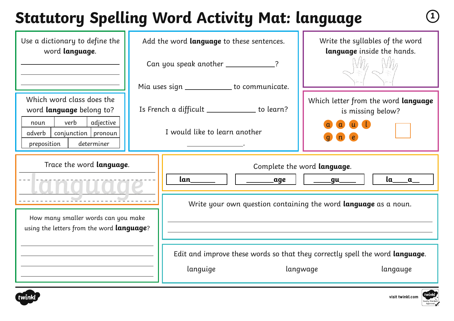# **Statutory Spelling Word Activity Mat: language <sup>1</sup>**

| Use a dictionary to define the<br>word language.                                                                                                            | Add the word language to these sentences.<br>Can you speak another _____________? | Write the syllables of the word<br>language inside the hands.                                        |
|-------------------------------------------------------------------------------------------------------------------------------------------------------------|-----------------------------------------------------------------------------------|------------------------------------------------------------------------------------------------------|
|                                                                                                                                                             | Mia uses sign ____________ to communicate.                                        |                                                                                                      |
| Which word class does the<br>word <b>language</b> belong to?<br>verb<br>adjective<br>noun<br>$conjunction$   pronoun<br>adverb<br>determiner<br>preposition | Is French a difficult ___________ to learn?<br>I would like to learn another      | Which letter from the word language<br>is missing below?                                             |
| Trace the word language.                                                                                                                                    | lan____<br>age                                                                    | Complete the word language.<br>$a$ <sub>a</sub><br>_gu___                                            |
| How many smaller words can you make<br>using the letters from the word <b>language</b> ?                                                                    |                                                                                   | Write your own question containing the word language as a noun.                                      |
|                                                                                                                                                             | languige                                                                          | Edit and improve these words so that they correctly spell the word language.<br>langwage<br>langauge |



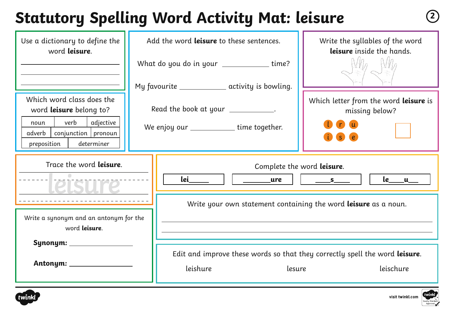### **Statutory Spelling Word Activity Mat: leisure <sup>2</sup>**

| Use a dictionary to define the<br>word leisure.                                                                                                   | Add the word <b>leisure</b> to these sentences. |                                                                                                 | Write the syllables of the word<br>leisure inside the hands.                                       |
|---------------------------------------------------------------------------------------------------------------------------------------------------|-------------------------------------------------|-------------------------------------------------------------------------------------------------|----------------------------------------------------------------------------------------------------|
|                                                                                                                                                   |                                                 | What do you do in your ______________time?<br>My favourite _______________ activity is bowling. |                                                                                                    |
| Which word class does the<br>word leisure belong to?<br>verb<br>adjective<br>noun<br>conjunction   pronoun<br>adverb<br>preposition<br>determiner |                                                 | Read the book at your ___________.<br>We enjoy our _______________ time together.               | Which letter from the word leisure is<br>missing below?<br><b>S</b><br>$\epsilon$                  |
| Trace the word leisure.                                                                                                                           |                                                 | lei kontrol<br>$\sqrt{a^2+a^2}$                                                                 | Complete the word leisure.<br><u>le___u_</u><br>$\underline{\hspace{1cm}}$ s                       |
|                                                                                                                                                   |                                                 | Write your own statement containing the word <b>leisure</b> as a noun.                          |                                                                                                    |
| Write a synonym and an antonym for the<br>word leisure.                                                                                           |                                                 |                                                                                                 |                                                                                                    |
| Synonym: _____________                                                                                                                            |                                                 | leishure                                                                                        | Edit and improve these words so that they correctly spell the word leisure.<br>leischure<br>lesure |



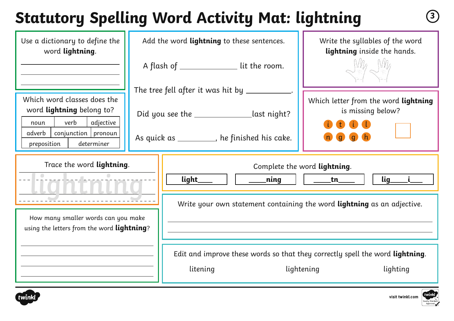# **Statutory Spelling Word Activity Mat: lightning <sup>3</sup>**

| Use a dictionary to define the<br>word lightning.                                                                      | Add the word lightning to these sentences. |                                                                                            | Write the syllables of the word<br>lightning inside the hands.                                          |
|------------------------------------------------------------------------------------------------------------------------|--------------------------------------------|--------------------------------------------------------------------------------------------|---------------------------------------------------------------------------------------------------------|
|                                                                                                                        |                                            | A flash of _______________ lit the room.                                                   |                                                                                                         |
| Which word classes does the<br>word lightning belong to?                                                               |                                            | The tree fell after it was hit by __________                                               | Which letter from the word lightning                                                                    |
| verb<br>adjective<br>noun<br>conjunction   pronoun<br>adverb  <br>preposition<br>determiner                            |                                            | Did you see the _______________last night?<br>As quick as _________, he finished his cake. | is missing below?                                                                                       |
| Trace the word lightning.<br>How many smaller words can you make<br>using the letters from the word <b>lightning</b> ? |                                            | light_<br>___ning                                                                          | Complete the word lightning.<br>$\mathbf{lig}_{-}$<br>ntn                                               |
|                                                                                                                        |                                            | Write your own statement containing the word lightning as an adjective.                    |                                                                                                         |
|                                                                                                                        |                                            |                                                                                            |                                                                                                         |
|                                                                                                                        |                                            | litening                                                                                   | Edit and improve these words so that they correctly spell the word lightning.<br>lightening<br>lighting |



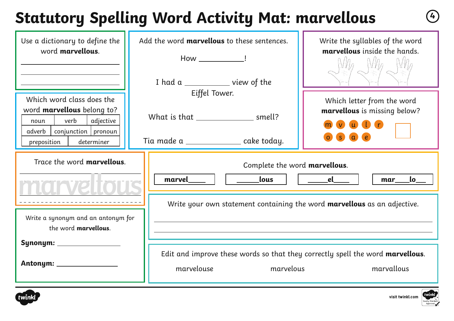### **Statutory Spelling Word Activity Mat: marvellous <sup>4</sup>**

| Use a dictionary to define the<br>word marvellous.                                                                      | Add the word <b>marvellous</b> to these sentences.<br>How _______________!                                | Write the syllables of the word<br>marvellous inside the hands. |
|-------------------------------------------------------------------------------------------------------------------------|-----------------------------------------------------------------------------------------------------------|-----------------------------------------------------------------|
| Which word class does the<br>word marvellous belong to?<br>verb<br>adjective<br>noun<br>adverb<br>$conjunction$ pronoun | I had a _____________ view of the<br>Eiffel Tower.<br>What is that ____________________ smell?            | Which letter from the word<br>marvellous is missing below?      |
| determiner<br>preposition                                                                                               | Tia made a ________________ cake today.                                                                   |                                                                 |
| Trace the word <b>marvellous</b> .                                                                                      | Complete the word marvellous.<br>lous<br>marvel                                                           | el de la contrad<br>$\mathsf{lo}_{\_\_}$<br>mar                 |
| Write a synonym and an antonym for<br>the word marvellous.                                                              | Write your own statement containing the word <b>marvellous</b> as an adjective.                           |                                                                 |
| Synonym: ___________                                                                                                    | Edit and improve these words so that they correctly spell the word marvellous.<br>marvelouse<br>marvelous | marvallous                                                      |